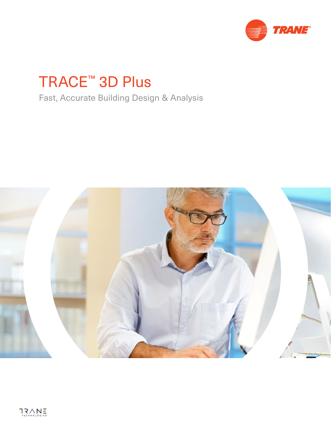

# TRACE™ 3D Plus

Fast, Accurate Building Design & Analysis

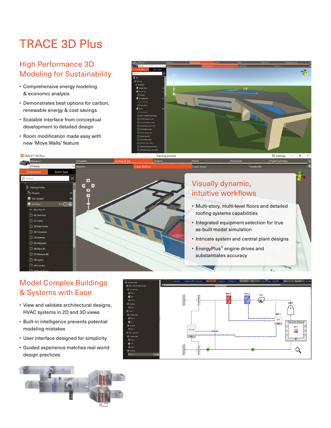## TRACE 3D Plus

## High Performance 3D Modeling for Sustainability

- Comprehensive energy modeling & economic analysis
- Demonstrates best options for carbon, renewable energy & cost savings
- Scalable interface from conceptual development to detailed design
- Room modification made easy with new 'Move Walls' feature





## Model Complex Buildings & Systems with Ease

- View and validate architectural designs, HVAC systems in 2D and 3D views
- Built-in intelligence prevents potential modeling mistakes
- User interface designed for simplicity
- Guided experience matches real world design practices



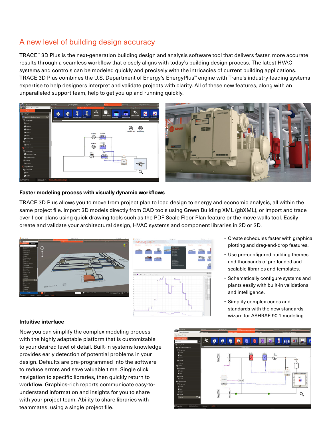### A new level of building design accuracy

TRACE™ 3D Plus is the next-generation building design and analysis software tool that delivers faster, more accurate results through a seamless workflow that closely aligns with today's building design process. The latest HVAC systems and controls can be modeled quickly and precisely with the intricacies of current building applications. TRACE 3D Plus combines the U.S. Department of Energy's EnergyPlus™ engine with Trane's industry-leading systems expertise to help designers interpret and validate projects with clarity. All of these new features, along with an unparalleled support team, help to get you up and running quickly.



#### **Faster modeling process with visually dynamic workflows**

TRACE 3D Plus allows you to move from project plan to load design to energy and economic analysis, all within the same project file. Import 3D models directly from CAD tools using Green Building XML (gbXML), or import and trace over floor plans using quick drawing tools such as the PDF Scale Floor Plan feature or the move walls tool. Easily create and validate your architectural design, HVAC systems and component libraries in 2D or 3D.



- Create schedules faster with graphical plotting and drag-and-drop features.
- Use pre-configured building themes and thousands of pre-loaded and scalable libraries and templates.
- Schematically configure systems and plants easily with built-in validations and intelligence.
- Simplify complex codes and standards with the new standards wizard for ASHRAE 90.1 modeling.

#### **Intuitive interface**

Now you can simplify the complex modeling process with the highly adaptable platform that is customizable to your desired level of detail. Built-in systems knowledge provides early detection of potential problems in your design. Defaults are pre-programmed into the software to reduce errors and save valuable time. Single click navigation to specific libraries, then quickly return to workflow. Graphics-rich reports communicate easy-tounderstand information and insights for you to share with your project team. Ability to share libraries with teammates, using a single project file.